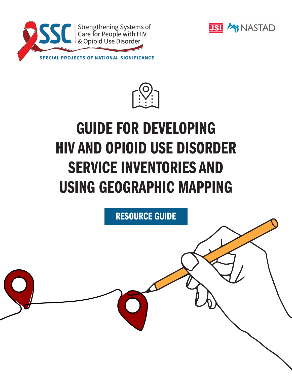





# GUIDE FOR DEVELOPING HIV AND OPIOID USE DISORDER SERVICE INVENTORIES AND USING GEOGRAPHIC MAPPING

RESOURCE GUIDE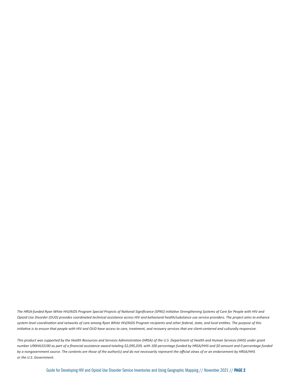*The HRSA-funded Ryan White HIV/AIDS Program Special Projects of National Significance (SPNS) initiative Strengthening Systems of Care for People with HIV and Opioid Use Disorder (OUD) provides coordinated technical assistance across HIV and behavioral health/substance use service providers. The project aims to enhance system-level coordination and networks of care among Ryan White HIV/AIDS Program recipients and other federal, state, and local entities. The purpose of this initiative is to ensure that people with HIV and OUD have access to care, treatment, and recovery services that are client-centered and culturally responsive.*

*This product was supported by the Health Resources and Services Administration (HRSA) of the U.S. Department of Health and Human Services (HHS) under grant number U90HA33190 as part of a financial assistance award totaling \$2,095,039, with 100 percentage funded by HRSA/HHS and \$0 amount and 0 percentage funded by a nongovernment source. The contents are those of the author(s) and do not necessarily represent the official views of or an endorsement by HRSA/HHS or the U.S. Government.*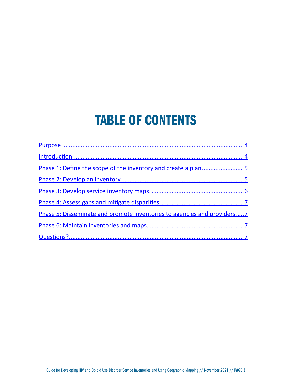## TABLE OF CONTENTS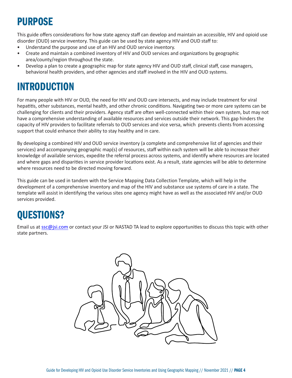## <span id="page-3-0"></span>PURPOSE

This guide offers considerations for how state agency staff can develop and maintain an accessible, HIV and opioid use disorder (OUD) service inventory. This guide can be used by state agency HIV and OUD staff to:

- Understand the purpose and use of an HIV and OUD service inventory.
- Create and maintain a combined inventory of HIV and OUD services and organizations by geographic area/county/region throughout the state.
- Develop a plan to create a geographic map for state agency HIV and OUD staff, clinical staff, case managers, behavioral health providers, and other agencies and staff involved in the HIV and OUD systems.

### INTRODUCTION

For many people with HIV or OUD, the need for HIV and OUD care intersects, and may include treatment for viral hepatitis, other substances, mental health, and other chronic conditions. Navigating two or more care systems can be challenging for clients and their providers. Agency staff are often well-connected within their own system, but may not have a comprehensive understanding of available resources and services outside their network. This gap hinders the capacity of HIV providers to facilitate referrals to OUD services and vice versa, which prevents clients from accessing support that could enhance their ability to stay healthy and in care.

By developing a combined HIV and OUD service inventory (a complete and comprehensive list of agencies and their services) and accompanying geographic map(s) of resources, staff within each system will be able to increase their knowledge of available services, expedite the referral process across systems, and identify where resources are located and where gaps and disparities in service provider locations exist. As a result, state agencies will be able to determine where resources need to be directed moving forward.

This guide can be used in tandem with the Service Mapping Data Collection Template, which will help in the development of a comprehensive inventory and map of the HIV and substance use systems of care in a state. The template will assist in identifying the various sites one agency might have as well as the associated HIV and/or OUD services provided.

## QUESTIONS?

Email us at [ssc@jsi.com](mailto:ssc%40jsi.com?subject=) or contact your JSI or NASTAD TA lead to explore opportunities to discuss this topic with other state partners.

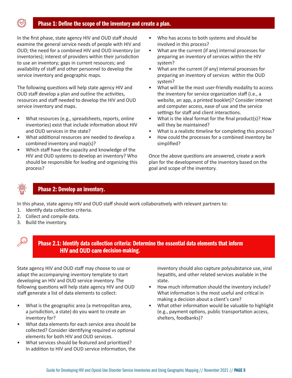#### Phase 1: Define the scope of the inventory and create a plan.

<span id="page-4-0"></span>In the first phase, state agency HIV and OUD staff should examine the general service needs of people with HIV and OUD; the need for a combined HIV and OUD inventory (or inventories); interest of providers within their jurisdiction to use an inventory; gaps in current resources; and availability of staff and other personnel to develop the service inventory and geographic maps.

The following questions will help state agency HIV and OUD staff develop a plan and outline the activities, resources and staff needed to develop the HIV and OUD service inventory and maps.

- What resources (e.g., spreadsheets, reports, online inventories) exist that include information about HIV and OUD services in the state?
- What additional resources are needed to develop a combined inventory and map(s)?
- Which staff have the capacity and knowledge of the HIV and OUD systems to develop an inventory? Who should be responsible for leading and organizing this process?
- Who has access to both systems and should be involved in this process?
- What are the current (if any) internal processes for preparing an inventory of services within the HIV system?
- What are the current (if any) internal processes for preparing an inventory of services within the OUD system?
- What will be the most user-friendly modality to access the inventory for service organization staff (i.e., a website, an app, a printed booklet)? Consider internet and computer access, ease of use and the service settings for staff and client interactions.
- What is the ideal format for the final product(s)? How will they be maintained?
- What is a realistic timeline for completing this process?
- How could the processes for a combined inventory be simplified?

Once the above questions are answered, create a work plan for the development of the inventory based on the goal and scope of the inventory.



#### Phase 2: Develop an inventory.

In this phase, state agency HIV and OUD staff should work collaboratively with relevant partners to:

- 1. Identify data collection criteria.
- 2. Collect and compile data.
- 3. Build the inventory.



#### Phase 2.1: Identify data collection criteria: Determine the essential data elements that inform HIV and OUD care decision-making.

State agency HIV and OUD staff may choose to use or adapt the accompanying inventory template to start developing an HIV and OUD service inventory. The following questions will help state agency HIV and OUD staff generate a list of data elements to collect:

- What is the geographic area (a metropolitan area, a jurisdiction, a state) do you want to create an inventory for?
- What data elements for each service area should be collected? Consider identifying required vs optional elements for both HIV and OUD services.
- What services should be featured and prioritized? In addition to HIV and OUD service information, the

inventory should also capture polysubstance use, viral hepatitis, and other related services available in the state.

- How much information should the inventory include? What information is the most useful and critical in making a decision about a client's care?
- What other information would be valuable to highlight (e.g., payment options, public transportation access, shelters, foodbanks)?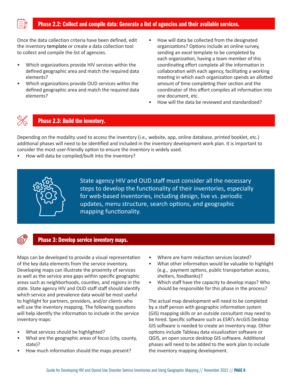<span id="page-5-0"></span>

#### Phase 2.2: Collect and compile data: Generate a list of agencies and their available services.

Once the data collection criteria have been defined, edit the inventory template or create a data collection tool to collect and compile the list of agencies.

- Which organizations provide HIV services within the defined geographic area and match the required data elements?
- Which organizations provide OUD services within the defined geographic area and match the required data elements?
- How will data be collected from the designated organizations? Options include an online survey, sending an excel template to be completed by each organization, having a team member of this coordinating effort complete all the information in collaboration with each agency, facilitating a working meeting in which each organization spends an allotted amount of time completing their section and the coordinator of this effort compiles all information into one document, etc.
- How will the data be reviewed and standardized?



#### Phase 2.3: Build the inventory.

Depending on the modality used to access the inventory (i.e., website, app, online database, printed booklet, etc.) additional phases will need to be identified and included in the inventory development work plan. It is important to consider the most user-friendly option to ensure the inventory is widely used.

• How will data be compiled/built into the inventory?



State agency HIV and OUD staff must consider all the necessary steps to develop the functionality of their inventories, especially for web-based inventories, including design, live vs. periodic updates, menu structure, search options, and geographic mapping functionality.

#### Phase 3: Develop service inventory maps.

Maps can be developed to provide a visual representation of the key data elements from the service inventory. Developing maps can illustrate the proximity of services as well as the service area gaps within specific geographic areas such as neighborhoods, counties, and regions in the state. State agency HIV and OUD staff staff should identify which service and prevalence data would be most useful to highlight for partners, providers, and/or clients who will use the inventory mapping. The following questions will help identify the information to include in the service inventory maps:

- What services should be highlighted?
- What are the geographic areas of focus (city, county, state)?
- How much information should the maps present?
- Where are harm reduction services located?
- What other information would be valuable to highlight (e.g., payment options, public transportation access, shelters, foodbanks)?
- Which staff have the capacity to develop maps? Who should be responsible for this phase in the process?

The actual map development will need to be completed by a staff person with geographic information system (GIS) mapping skills or an outside consultant may need to be hired. Specific software such as ESRI's ArcGIS Desktop GIS software is needed to create an inventory map. Other options include Tableau data visualization software or QGIS, an open source desktop GIS software. Additional phases will need to be added to the work plan to include the inventory mapping development.